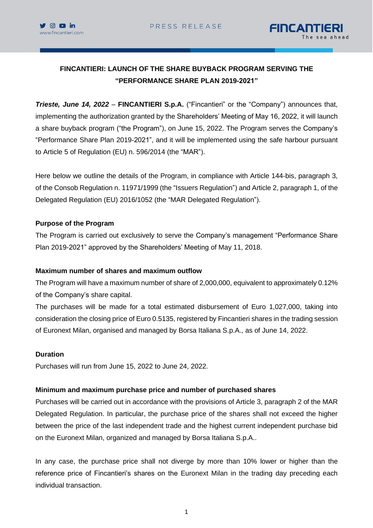



# **FINCANTIERI: LAUNCH OF THE SHARE BUYBACK PROGRAM SERVING THE "PERFORMANCE SHARE PLAN 2019-2021"**

*Trieste, June 14, 2022* – **FINCANTIERI S.p.A.** ("Fincantieri" or the "Company") announces that, implementing the authorization granted by the Shareholders' Meeting of May 16, 2022, it will launch a share buyback program ("the Program"), on June 15, 2022. The Program serves the Company's "Performance Share Plan 2019-2021", and it will be implemented using the safe harbour pursuant to Article 5 of Regulation (EU) n. 596/2014 (the "MAR").

Here below we outline the details of the Program, in compliance with Article 144-bis, paragraph 3, of the Consob Regulation n. 11971/1999 (the "Issuers Regulation") and Article 2, paragraph 1, of the Delegated Regulation (EU) 2016/1052 (the "MAR Delegated Regulation").

#### **Purpose of the Program**

The Program is carried out exclusively to serve the Company's management "Performance Share Plan 2019-2021" approved by the Shareholders' Meeting of May 11, 2018.

## **Maximum number of shares and maximum outflow**

The Program will have a maximum number of share of 2,000,000, equivalent to approximately 0.12% of the Company's share capital.

The purchases will be made for a total estimated disbursement of Euro 1,027,000, taking into consideration the closing price of Euro 0.5135, registered by Fincantieri shares in the trading session of Euronext Milan, organised and managed by Borsa Italiana S.p.A., as of June 14, 2022.

#### **Duration**

Purchases will run from June 15, 2022 to June 24, 2022.

## **Minimum and maximum purchase price and number of purchased shares**

Purchases will be carried out in accordance with the provisions of Article 3, paragraph 2 of the MAR Delegated Regulation. In particular, the purchase price of the shares shall not exceed the higher between the price of the last independent trade and the highest current independent purchase bid on the Euronext Milan, organized and managed by Borsa Italiana S.p.A..

In any case, the purchase price shall not diverge by more than 10% lower or higher than the reference price of Fincantieri's shares on the Euronext Milan in the trading day preceding each individual transaction.